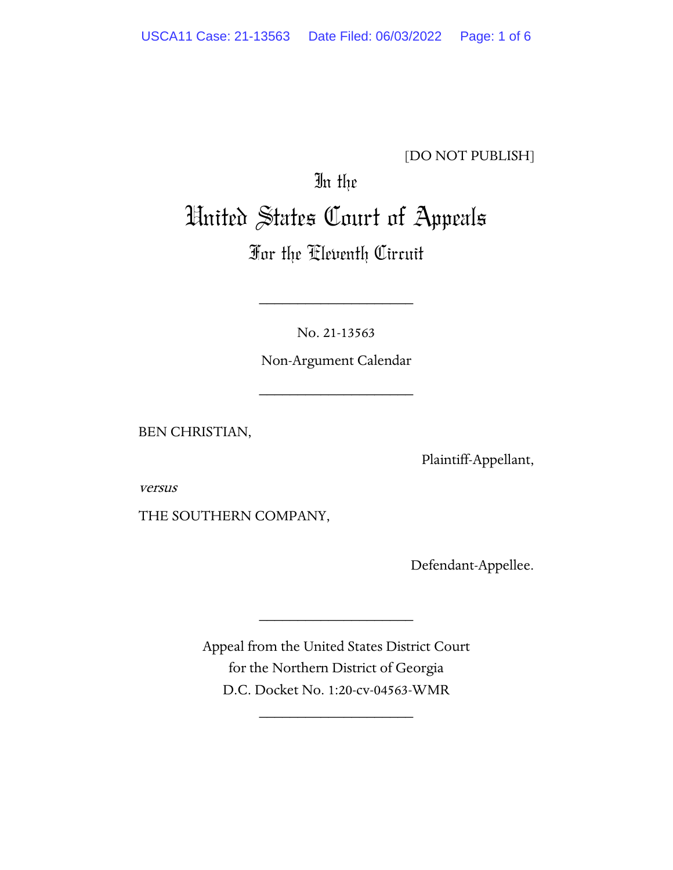### [DO NOT PUBLISH]

# In the United States Court of Appeals

## For the Eleventh Circuit

No. 21-13563

\_\_\_\_\_\_\_\_\_\_\_\_\_\_\_\_\_\_\_\_

Non-Argument Calendar

\_\_\_\_\_\_\_\_\_\_\_\_\_\_\_\_\_\_\_\_

BEN CHRISTIAN,

Plaintiff-Appellant,

versus

THE SOUTHERN COMPANY,

Defendant-Appellee.

Appeal from the United States District Court for the Northern District of Georgia D.C. Docket No. 1:20-cv-04563-WMR

\_\_\_\_\_\_\_\_\_\_\_\_\_\_\_\_\_\_\_\_

\_\_\_\_\_\_\_\_\_\_\_\_\_\_\_\_\_\_\_\_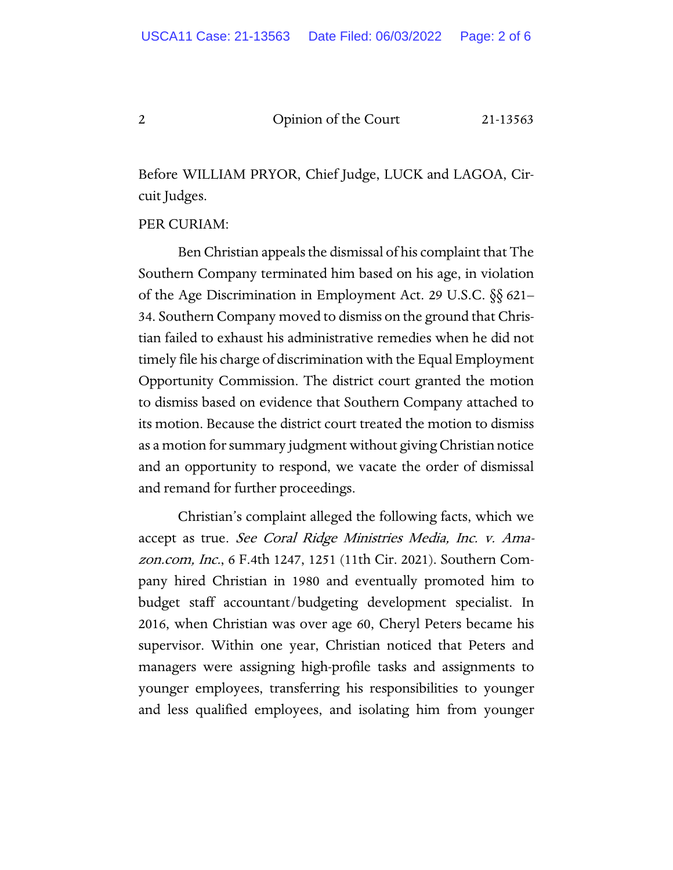#### 2 Opinion of the Court 21-13563

Before WILLIAM PRYOR, Chief Judge, LUCK and LAGOA, Circuit Judges.

PER CURIAM:

Ben Christian appeals the dismissal of his complaint that The Southern Company terminated him based on his age, in violation of the Age Discrimination in Employment Act. 29 U.S.C. §§ 621– 34. Southern Company moved to dismiss on the ground that Christian failed to exhaust his administrative remedies when he did not timely file his charge of discrimination with the Equal Employment Opportunity Commission. The district court granted the motion to dismiss based on evidence that Southern Company attached to its motion. Because the district court treated the motion to dismiss as a motion for summary judgment without giving Christian notice and an opportunity to respond, we vacate the order of dismissal and remand for further proceedings.

Christian's complaint alleged the following facts, which we accept as true. See Coral Ridge Ministries Media, Inc. v. Amazon.com, Inc., 6 F.4th 1247, 1251 (11th Cir. 2021). Southern Company hired Christian in 1980 and eventually promoted him to budget staff accountant/budgeting development specialist. In 2016, when Christian was over age 60, Cheryl Peters became his supervisor. Within one year, Christian noticed that Peters and managers were assigning high-profile tasks and assignments to younger employees, transferring his responsibilities to younger and less qualified employees, and isolating him from younger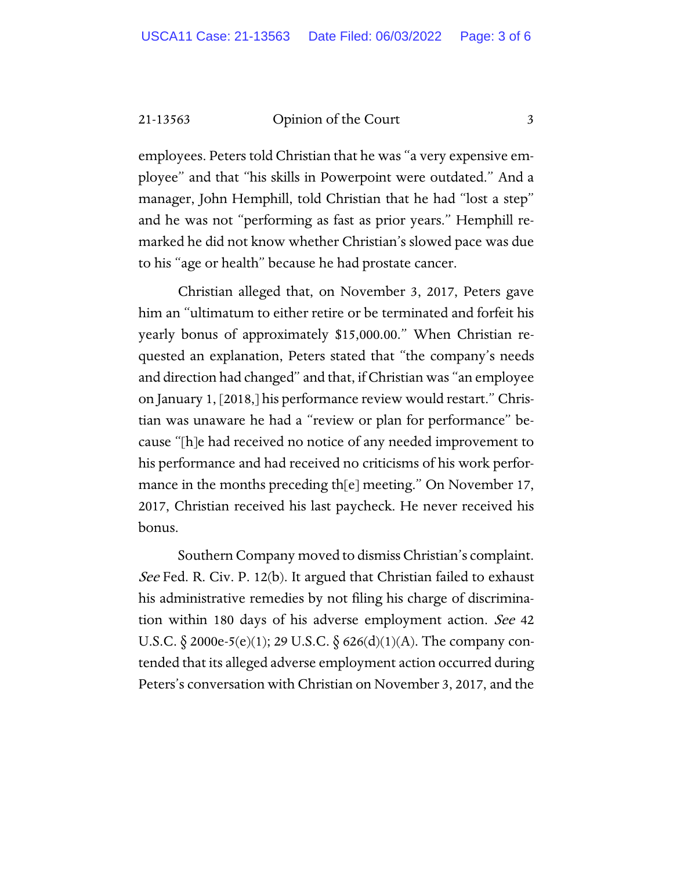21-13563 Opinion of the Court 3

employees. Peters told Christian that he was "a very expensive employee" and that "his skills in Powerpoint were outdated." And a manager, John Hemphill, told Christian that he had "lost a step" and he was not "performing as fast as prior years." Hemphill remarked he did not know whether Christian's slowed pace was due to his "age or health" because he had prostate cancer.

Christian alleged that, on November 3, 2017, Peters gave him an "ultimatum to either retire or be terminated and forfeit his yearly bonus of approximately \$15,000.00." When Christian requested an explanation, Peters stated that "the company's needs and direction had changed" and that, if Christian was "an employee on January 1, [2018,] his performance review would restart." Christian was unaware he had a "review or plan for performance" because "[h]e had received no notice of any needed improvement to his performance and had received no criticisms of his work performance in the months preceding th[e] meeting." On November 17, 2017, Christian received his last paycheck. He never received his bonus.

Southern Company moved to dismiss Christian's complaint. *See* Fed. R. Civ. P. 12(b). It argued that Christian failed to exhaust his administrative remedies by not filing his charge of discrimination within 180 days of his adverse employment action. See 42 U.S.C.  $\S 2000e-5(e)(1)$ ; 29 U.S.C.  $\S 626(d)(1)(A)$ . The company contended that its alleged adverse employment action occurred during Peters's conversation with Christian on November 3, 2017, and the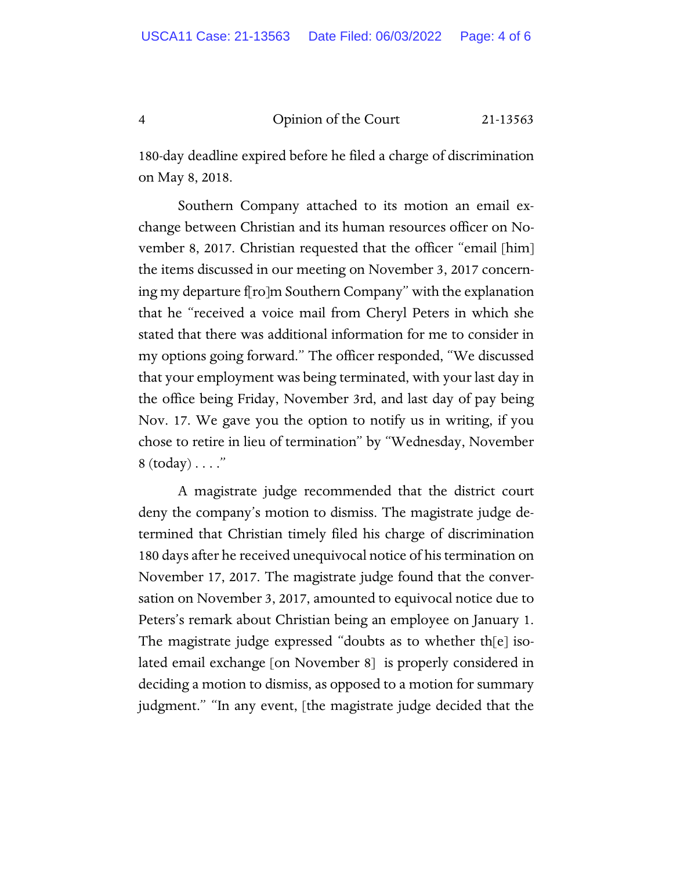4 Opinion of the Court 21-13563

180-day deadline expired before he filed a charge of discrimination on May 8, 2018.

Southern Company attached to its motion an email exchange between Christian and its human resources officer on November 8, 2017. Christian requested that the officer "email [him] the items discussed in our meeting on November 3, 2017 concerning my departure f[ro]m Southern Company" with the explanation that he "received a voice mail from Cheryl Peters in which she stated that there was additional information for me to consider in my options going forward." The officer responded, "We discussed that your employment was being terminated, with your last day in the office being Friday, November 3rd, and last day of pay being Nov. 17. We gave you the option to notify us in writing, if you chose to retire in lieu of termination" by "Wednesday, November 8  $(today) \ldots$ ."

A magistrate judge recommended that the district court deny the company's motion to dismiss. The magistrate judge determined that Christian timely filed his charge of discrimination 180 days after he received unequivocal notice of his termination on November 17, 2017. The magistrate judge found that the conversation on November 3, 2017, amounted to equivocal notice due to Peters's remark about Christian being an employee on January 1. The magistrate judge expressed "doubts as to whether th[e] isolated email exchange [on November 8] is properly considered in deciding a motion to dismiss, as opposed to a motion for summary judgment." "In any event, [the magistrate judge decided that the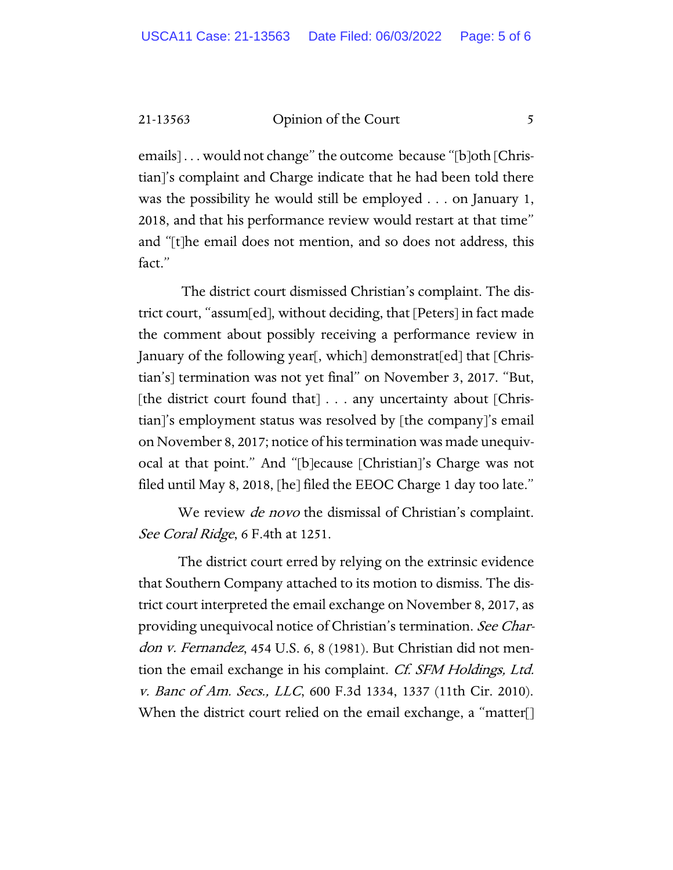21-13563 Opinion of the Court 5

emails] . . . would not change" the outcome because "[b]oth [Christian]'s complaint and Charge indicate that he had been told there was the possibility he would still be employed . . . on January 1, 2018, and that his performance review would restart at that time" and "[t]he email does not mention, and so does not address, this fact."

The district court dismissed Christian's complaint. The district court, "assum[ed], without deciding, that [Peters] in fact made the comment about possibly receiving a performance review in January of the following year[, which] demonstrat[ed] that [Christian's] termination was not yet final" on November 3, 2017. "But, [the district court found that] . . . any uncertainty about [Christian]'s employment status was resolved by [the company]'s email on November 8, 2017; notice of his termination was made unequivocal at that point." And "[b]ecause [Christian]'s Charge was not filed until May 8, 2018, [he] filed the EEOC Charge 1 day too late."

We review *de novo* the dismissal of Christian's complaint. See Coral Ridge, 6 F.4th at 1251.

The district court erred by relying on the extrinsic evidence that Southern Company attached to its motion to dismiss. The district court interpreted the email exchange on November 8, 2017, as providing unequivocal notice of Christian's termination. See Chardon v. Fernandez, 454 U.S. 6, 8 (1981). But Christian did not mention the email exchange in his complaint. Cf. SFM Holdings, Ltd. v. Banc of Am. Secs., LLC, 600 F.3d 1334, 1337 (11th Cir. 2010). When the district court relied on the email exchange, a "matter[]